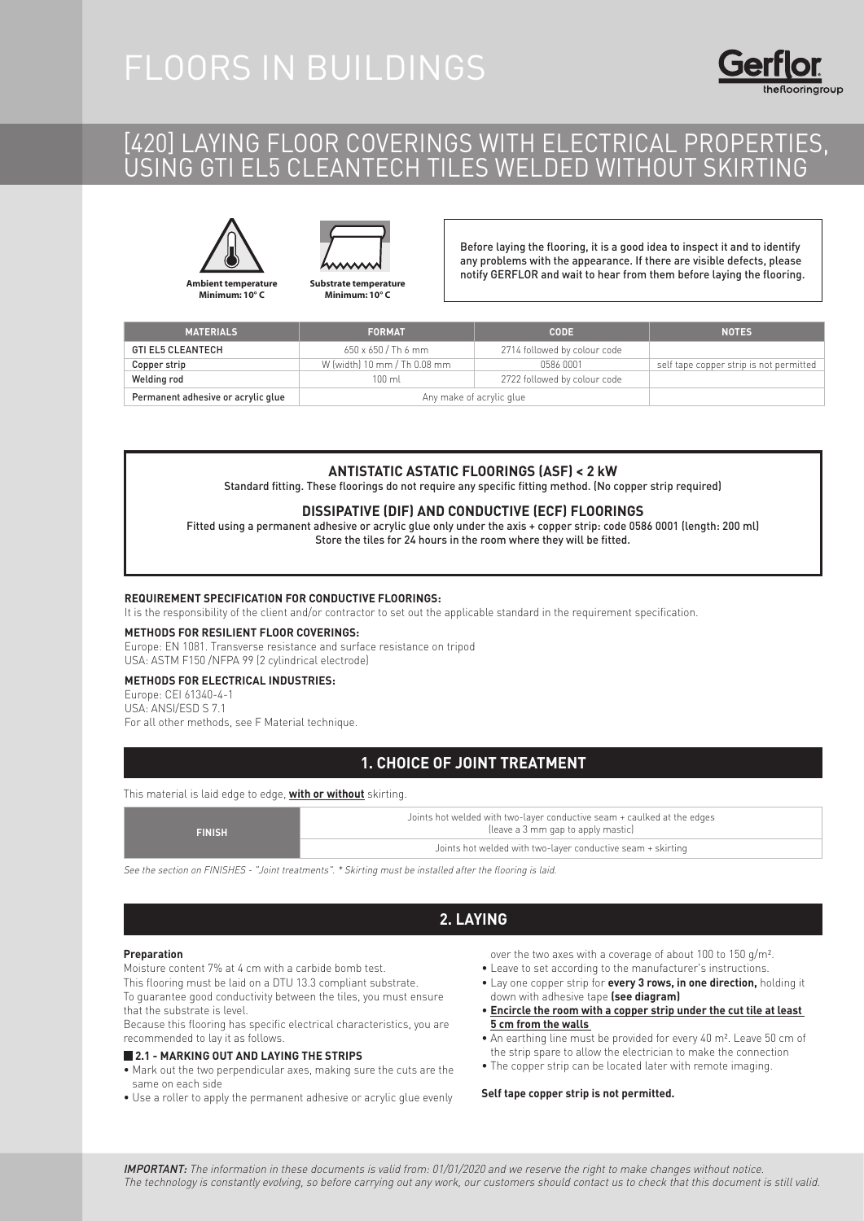## FLOORS IN BUILDINGS

## [420] LAYING FLOOR COVERINGS WITH ELECTRICAL PROPERTIES, USING GTI EL5 CLEANTECH TILES WELDED WITHOUT SKIRTING



**Ambient temperature Minimum: 10° C**

**Substrate temperature**

**Minimum: 10° C**

Before laying the flooring, it is a good idea to inspect it and to identify any problems with the appearance. If there are visible defects, please notify GERFLOR and wait to hear from them before laying the flooring.

| <b>MATERIALS</b>                   | <b>FORMAT</b>                | <b>CODE</b>                  | <b>NOTES</b>                            |
|------------------------------------|------------------------------|------------------------------|-----------------------------------------|
| <b>GTI EL5 CLEANTECH</b>           | $650 \times 650$ / Th 6 mm   | 2714 followed by colour code |                                         |
| Copper strip                       | W (width) 10 mm / Th 0.08 mm | 0586 0001                    | self tape copper strip is not permitted |
| Welding rod                        | $100 \text{ ml}$             | 2722 followed by colour code |                                         |
| Permanent adhesive or acrylic glue | Any make of acrylic glue     |                              |                                         |

#### **ANTISTATIC ASTATIC FLOORINGS (ASF) < 2 kW**

Standard fitting. These floorings do not require any specific fitting method. (No copper strip required)

#### **DISSIPATIVE (DIF) AND CONDUCTIVE (ECF) FLOORINGS**

Fitted using a permanent adhesive or acrylic glue only under the axis + copper strip: code 0586 0001 (length: 200 ml) Store the tiles for 24 hours in the room where they will be fitted.

#### **REQUIREMENT SPECIFICATION FOR CONDUCTIVE FLOORINGS:**

It is the responsibility of the client and/or contractor to set out the applicable standard in the requirement specification.

#### **METHODS FOR RESILIENT FLOOR COVERINGS:**

Europe: EN 1081. Transverse resistance and surface resistance on tripod USA: ASTM F150 /NFPA 99 (2 cylindrical electrode)

#### **METHODS FOR ELECTRICAL INDUSTRIES:**

Europe: CEI 61340-4-1 USA: ANSI/ESD S 7.1 For all other methods, see F Material technique.

#### **1. CHOICE OF JOINT TREATMENT**

#### This material is laid edge to edge, **with or without** skirting.

| <b>FINISH</b>                                               | Joints hot welded with two-layer conductive seam + caulked at the edges<br>(leave a 3 mm gap to apply mastic) |  |
|-------------------------------------------------------------|---------------------------------------------------------------------------------------------------------------|--|
| Joints hot welded with two-layer conductive seam + skirting |                                                                                                               |  |

See the section on FINISHES - "Joint treatments". \* Skirting must be installed after the flooring is laid.

#### **2. LAYING**

#### **Preparation**

Moisture content 7% at 4 cm with a carbide bomb test.

This flooring must be laid on a DTU 13.3 compliant substrate.

To guarantee good conductivity between the tiles, you must ensure that the substrate is level.

Because this flooring has specific electrical characteristics, you are recommended to lay it as follows.

#### **2.1 - MARKING OUT AND LAYING THE STRIPS**

- Mark out the two perpendicular axes, making sure the cuts are the same on each side
- Use a roller to apply the permanent adhesive or acrylic glue evenly
- over the two axes with a coverage of about 100 to 150 g/m².
- Leave to set according to the manufacturer's instructions.
- Lay one copper strip for **every 3 rows, in one direction,** holding it down with adhesive tape **(see diagram)**
- **Encircle the room with a copper strip under the cut tile at least 5 cm from the walls**
- An earthing line must be provided for every 40 m². Leave 50 cm of the strip spare to allow the electrician to make the connection
- The copper strip can be located later with remote imaging.

#### **Self tape copper strip is not permitted.**

IMPORTANT: The information in these documents is valid from: 01/01/2020 and we reserve the right to make changes without notice. The technology is constantly evolving, so before carrying out any work, our customers should contact us to check that this document is still valid.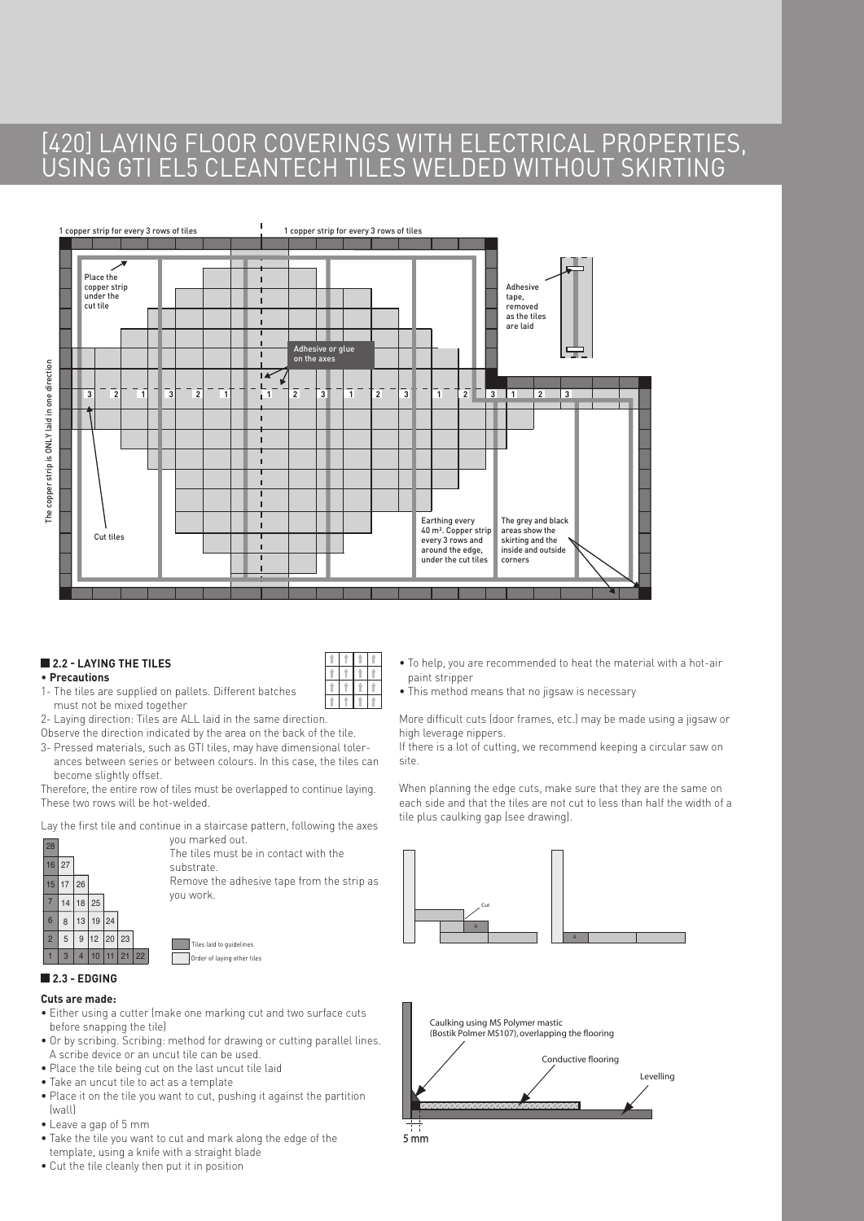## [420] LAYING FLOOR COVERINGS WITH ELECTRICAL PROPERTIES, USING GTI EL5 CLEANTECH TILES WELDED WITHOUT SKIRTING



#### **2.2 - LAYING THE TILES**

#### • **Precautions**

- 1- The tiles are supplied on pallets. Different batches must not be mixed together
- 2- Laying direction: Tiles are ALL laid in the same direction.
- Observe the direction indicated by the area on the back of the tile.
- 3- Pressed materials, such as GTI tiles, may have dimensional tolerances between series or between colours. In this case, the tiles can become slightly offset.

Therefore, the entire row of tiles must be overlapped to continue laying. These two rows will be hot-welded.

Lay the first tile and continue in a staircase pattern, following the axes



you marked out. 28 ,<br>The tiles must be in contact with the substrate. Remove the adhesive tape from the strip as

you work.

Tiles laid to guidelines Order of laying other tiles

#### **2.3 - EDGING**

#### **Cuts are made:**

- Either using a cutter (make one marking cut and two surface cuts before snapping the tile)
- Or by scribing. Scribing: method for drawing or cutting parallel lines. A scribe device or an uncut tile can be used.
- Place the tile being cut on the last uncut tile laid
- Take an uncut tile to act as a template
- Place it on the tile you want to cut, pushing it against the partition (wall)
- Leave a gap of 5 mm
- Take the tile you want to cut and mark along the edge of the template, using a knife with a straight blade
- Cut the tile cleanly then put it in position
- To help, you are recommended to heat the material with a hot-air paint stripper
- This method means that no jigsaw is necessary

More difficult cuts (door frames, etc.) may be made using a jigsaw or high leverage nippers.

If there is a lot of cutting, we recommend keeping a circular saw on site.

When planning the edge cuts, make sure that they are the same on each side and that the tiles are not cut to less than half the width of a tile plus caulking gap (see drawing).





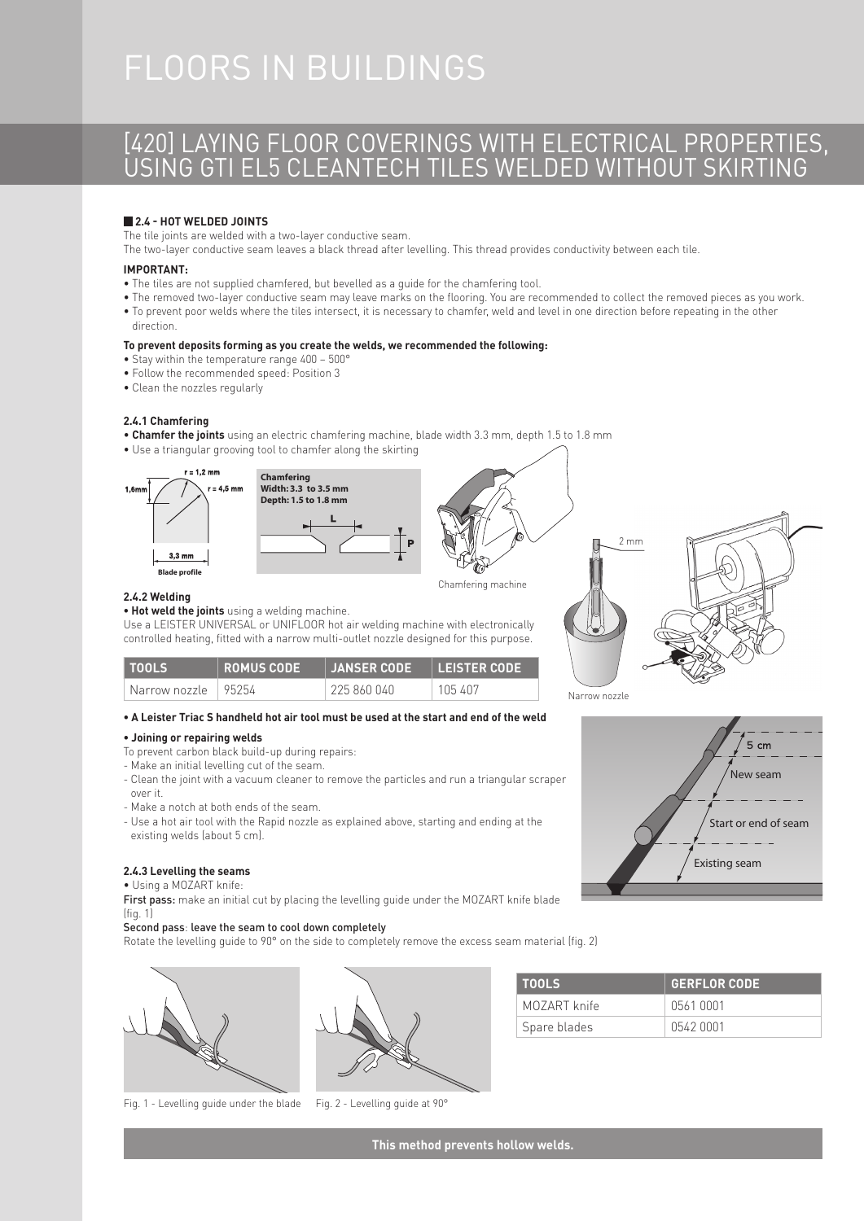# FLOORS IN BUILDINGS

## [420] LAYING FLOOR COVERINGS WITH ELECTRICAL PROPERTIES, USING GTI EL5 CLEANTECH TILES WELDED WITHOUT SKIRTING

#### **2.4 - HOT WELDED JOINTS**

The tile joints are welded with a two-layer conductive seam.

The two-layer conductive seam leaves a black thread after levelling. This thread provides conductivity between each tile.

#### **IMPORTANT:**

- The tiles are not supplied chamfered, but bevelled as a guide for the chamfering tool.
- The removed two-layer conductive seam may leave marks on the flooring. You are recommended to collect the removed pieces as you work. • To prevent poor welds where the tiles intersect, it is necessary to chamfer, weld and level in one direction before repeating in the other
- direction.

#### **To prevent deposits forming as you create the welds, we recommended the following:**

- Stay within the temperature range 400 500°
- Follow the recommended speed: Position 3
- Clean the nozzles regularly

#### **2.4.1 Chamfering**

- **Chamfer the joints** using an electric chamfering machine, blade width 3.3 mm, depth 1.5 to 1.8 mm
- Use a triangular grooving tool to chamfer along the skirting



**2.4.2 Welding** 







New seam

5  $cm$ 

Start or end of seam

Existing seam

| <b>TIOOLS</b>                                 | <b>ROMUS CODE</b> | <b>JANSER CODE</b> | I LEISTER CODE |
|-----------------------------------------------|-------------------|--------------------|----------------|
| $^{\circ}$ Narrow nozzle $+$ 95254 $^{\circ}$ |                   | 225 860 040        | 105 407        |

Use a LEISTER UNIVERSAL or UNIFLOOR hot air welding machine with electronically controlled heating, fitted with a narrow multi-outlet nozzle designed for this purpose.

#### **• A Leister Triac S handheld hot air tool must be used at the start and end of the weld**

#### **• Joining or repairing welds**

To prevent carbon black build-up during repairs:

**• Hot weld the joints** using a welding machine.

- Make an initial levelling cut of the seam.
- Clean the joint with a vacuum cleaner to remove the particles and run a triangular scraper over it.
- Make a notch at both ends of the seam.
- Use a hot air tool with the Rapid nozzle as explained above, starting and ending at the existing welds (about 5 cm).

#### **2.4.3 Levelling the seams**

#### • Using a MOZART knife:

First pass: make an initial cut by placing the levelling quide under the MOZART knife blade (fig. 1)

#### Second pass: leave the seam to cool down completely

Rotate the levelling guide to 90° on the side to completely remove the excess seam material (fig. 2)









Spare blades | 0542 0001

**This method prevents hollow welds.**

| Narrow nozzle |  |
|---------------|--|
|               |  |